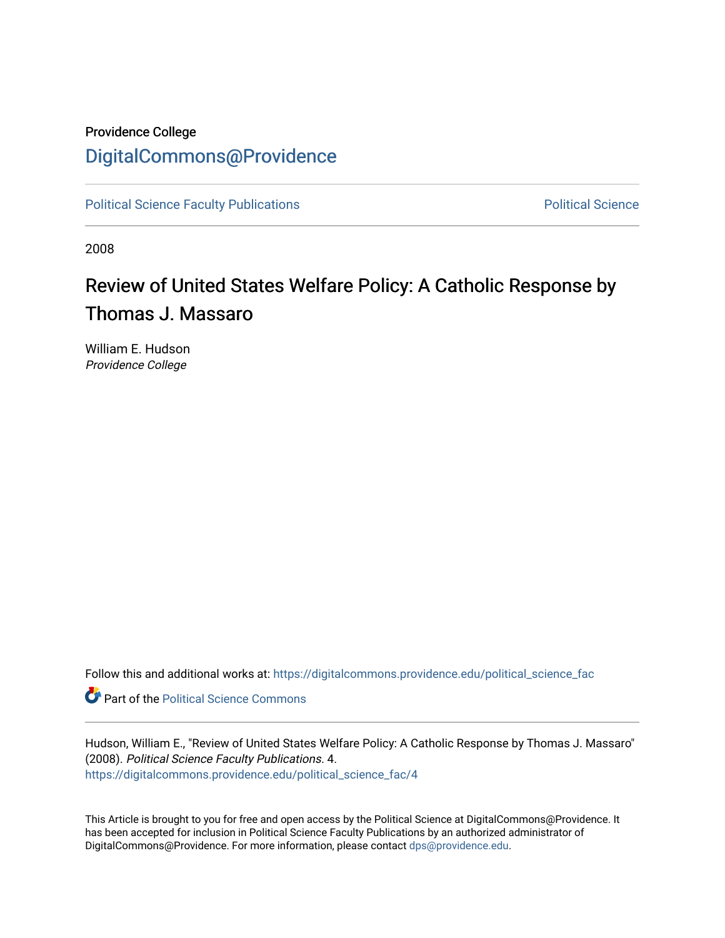## Providence College [DigitalCommons@Providence](https://digitalcommons.providence.edu/)

[Political Science Faculty Publications](https://digitalcommons.providence.edu/political_science_fac) **Political Science** Political Science

2008

## Review of United States Welfare Policy: A Catholic Response by Thomas J. Massaro

William E. Hudson Providence College

Follow this and additional works at: [https://digitalcommons.providence.edu/political\\_science\\_fac](https://digitalcommons.providence.edu/political_science_fac?utm_source=digitalcommons.providence.edu%2Fpolitical_science_fac%2F4&utm_medium=PDF&utm_campaign=PDFCoverPages)

**Part of the Political Science Commons** 

Hudson, William E., "Review of United States Welfare Policy: A Catholic Response by Thomas J. Massaro" (2008). Political Science Faculty Publications. 4. [https://digitalcommons.providence.edu/political\\_science\\_fac/4](https://digitalcommons.providence.edu/political_science_fac/4?utm_source=digitalcommons.providence.edu%2Fpolitical_science_fac%2F4&utm_medium=PDF&utm_campaign=PDFCoverPages) 

This Article is brought to you for free and open access by the Political Science at DigitalCommons@Providence. It has been accepted for inclusion in Political Science Faculty Publications by an authorized administrator of DigitalCommons@Providence. For more information, please contact [dps@providence.edu.](mailto:dps@providence.edu)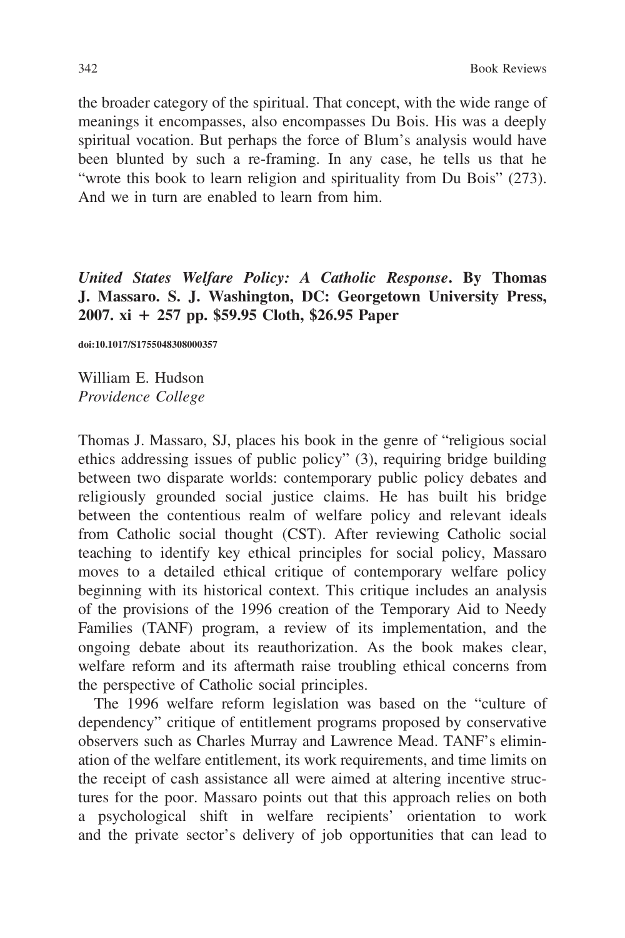the broader category of the spiritual. That concept, with the wide range of meanings it encompasses, also encompasses Du Bois. His was a deeply spiritual vocation. But perhaps the force of Blum's analysis would have been blunted by such a re-framing. In any case, he tells us that he "wrote this book to learn religion and spirituality from Du Bois" (273). And we in turn are enabled to learn from him.

United States Welfare Policy: A Catholic Response. By Thomas J. Massaro. S. J. Washington, DC: Georgetown University Press, 2007. xi  $+ 257$  pp. \$59.95 Cloth, \$26.95 Paper

doi:10.1017/S1755048308000357

William E. Hudson Providence College

Thomas J. Massaro, SJ, places his book in the genre of "religious social ethics addressing issues of public policy" (3), requiring bridge building between two disparate worlds: contemporary public policy debates and religiously grounded social justice claims. He has built his bridge between the contentious realm of welfare policy and relevant ideals from Catholic social thought (CST). After reviewing Catholic social teaching to identify key ethical principles for social policy, Massaro moves to a detailed ethical critique of contemporary welfare policy beginning with its historical context. This critique includes an analysis of the provisions of the 1996 creation of the Temporary Aid to Needy Families (TANF) program, a review of its implementation, and the ongoing debate about its reauthorization. As the book makes clear, welfare reform and its aftermath raise troubling ethical concerns from the perspective of Catholic social principles.

The 1996 welfare reform legislation was based on the "culture of dependency" critique of entitlement programs proposed by conservative observers such as Charles Murray and Lawrence Mead. TANF's elimination of the welfare entitlement, its work requirements, and time limits on the receipt of cash assistance all were aimed at altering incentive structures for the poor. Massaro points out that this approach relies on both a psychological shift in welfare recipients' orientation to work and the private sector's delivery of job opportunities that can lead to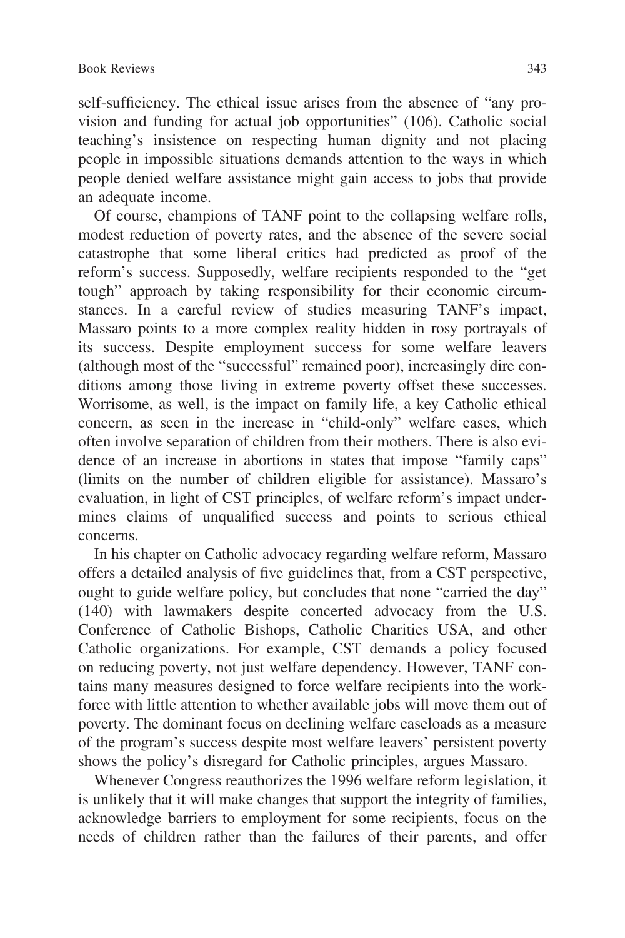self-sufficiency. The ethical issue arises from the absence of "any provision and funding for actual job opportunities" (106). Catholic social teaching's insistence on respecting human dignity and not placing people in impossible situations demands attention to the ways in which people denied welfare assistance might gain access to jobs that provide an adequate income.

Of course, champions of TANF point to the collapsing welfare rolls, modest reduction of poverty rates, and the absence of the severe social catastrophe that some liberal critics had predicted as proof of the reform's success. Supposedly, welfare recipients responded to the "get tough" approach by taking responsibility for their economic circumstances. In a careful review of studies measuring TANF's impact, Massaro points to a more complex reality hidden in rosy portrayals of its success. Despite employment success for some welfare leavers (although most of the "successful" remained poor), increasingly dire conditions among those living in extreme poverty offset these successes. Worrisome, as well, is the impact on family life, a key Catholic ethical concern, as seen in the increase in "child-only" welfare cases, which often involve separation of children from their mothers. There is also evidence of an increase in abortions in states that impose "family caps" (limits on the number of children eligible for assistance). Massaro's evaluation, in light of CST principles, of welfare reform's impact undermines claims of unqualified success and points to serious ethical concerns.

In his chapter on Catholic advocacy regarding welfare reform, Massaro offers a detailed analysis of five guidelines that, from a CST perspective, ought to guide welfare policy, but concludes that none "carried the day" (140) with lawmakers despite concerted advocacy from the U.S. Conference of Catholic Bishops, Catholic Charities USA, and other Catholic organizations. For example, CST demands a policy focused on reducing poverty, not just welfare dependency. However, TANF contains many measures designed to force welfare recipients into the workforce with little attention to whether available jobs will move them out of poverty. The dominant focus on declining welfare caseloads as a measure of the program's success despite most welfare leavers' persistent poverty shows the policy's disregard for Catholic principles, argues Massaro.

Whenever Congress reauthorizes the 1996 welfare reform legislation, it is unlikely that it will make changes that support the integrity of families, acknowledge barriers to employment for some recipients, focus on the needs of children rather than the failures of their parents, and offer